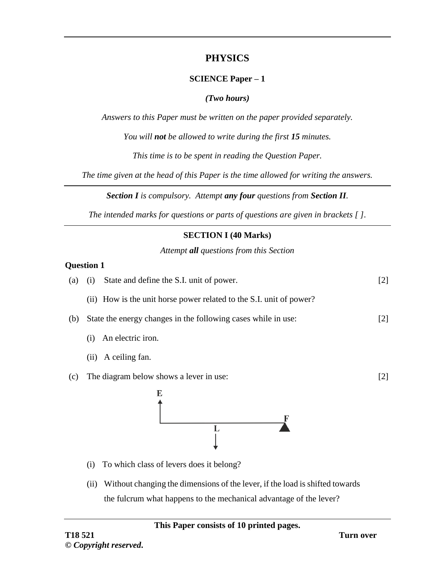# **PHYSICS**

## **SCIENCE Paper – 1**

### *(Two hours)*

*Answers to this Paper must be written on the paper provided separately.*

*You will not be allowed to write during the first 15 minutes.*

*This time is to be spent in reading the Question Paper.*

*The time given at the head of this Paper is the time allowed for writing the answers.*

*Section I is compulsory. Attempt any four questions from Section II.*

*The intended marks for questions or parts of questions are given in brackets [ ].*

## **SECTION I (40 Marks)**

*Attempt all questions from this Section*

#### **Question 1**

| (a) | State and define the S.I. unit of power.<br>(i)                     | $[2]$ |
|-----|---------------------------------------------------------------------|-------|
|     | (ii) How is the unit horse power related to the S.I. unit of power? |       |
| (b) | State the energy changes in the following cases while in use:       | $[2]$ |
|     | An electric iron.<br>(i)                                            |       |
|     | A ceiling fan.<br>(ii)                                              |       |
| (c) | The diagram below shows a lever in use:                             | $[2]$ |
|     | E<br>L                                                              |       |

- (i) To which class of levers does it belong?
- (ii) Without changing the dimensions of the lever, if the load is shifted towards the fulcrum what happens to the mechanical advantage of the lever?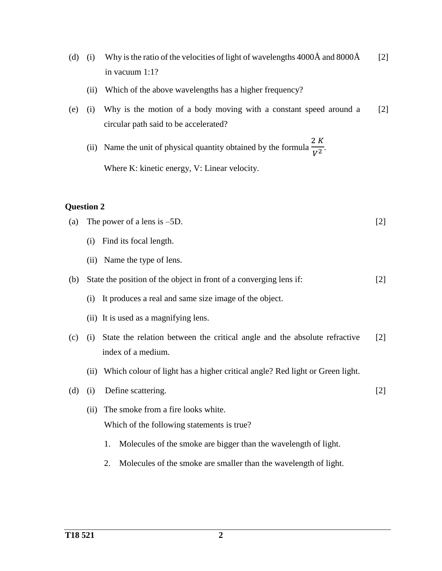- (d) (i) Why is the ratio of the velocities of light of wavelengths 4000 $\AA$  and 8000 $\AA$ in vacuum 1:1? [2]
	- (ii) Which of the above wavelengths has a higher frequency?
- (e) (i) Why is the motion of a body moving with a constant speed around a circular path said to be accelerated? [2]
	- (ii) Name the unit of physical quantity obtained by the formula  $\frac{2\pi}{V^2}$ . 2 K Where K: kinetic energy, V: Linear velocity.

- (a) The power of a lens is –5D. [2]
	- (i) Find its focal length.
	- (ii) Name the type of lens.
- (b) State the position of the object in front of a converging lens if: [2]
	- (i) It produces a real and same size image of the object.
	- (ii) It is used as a magnifying lens.
- (c) (i) State the relation between the critical angle and the absolute refractive index of a medium. [2]
	- (ii) Which colour of light has a higher critical angle? Red light or Green light.
- (d) (i) Define scattering. [2]
	- (ii) The smoke from a fire looks white. Which of the following statements is true?
		- 1. Molecules of the smoke are bigger than the wavelength of light.
		- 2. Molecules of the smoke are smaller than the wavelength of light.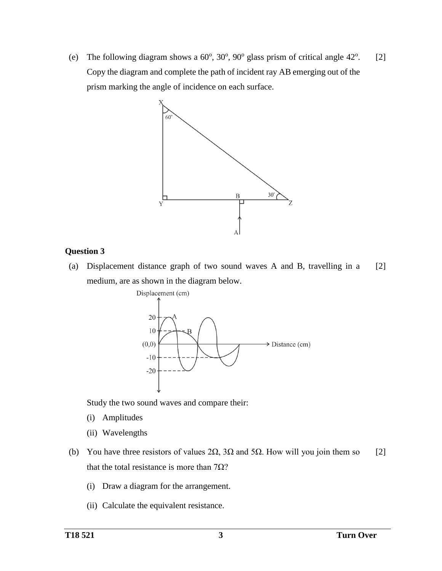(e) The following diagram shows a  $60^{\circ}$ ,  $30^{\circ}$ ,  $90^{\circ}$  glass prism of critical angle  $42^{\circ}$ . Copy the diagram and complete the path of incident ray AB emerging out of the prism marking the angle of incidence on each surface. [2]



# **Question 3**

(a) Displacement distance graph of two sound waves A and B, travelling in a medium, are as shown in the diagram below. [2]



Study the two sound waves and compare their:

- (i) Amplitudes
- (ii) Wavelengths
- (b) You have three resistors of values  $2\Omega$ ,  $3\Omega$  and  $5\Omega$ . How will you join them so that the total resistance is more than  $7Ω$ ? [2]
	- (i) Draw a diagram for the arrangement.
	- (ii) Calculate the equivalent resistance.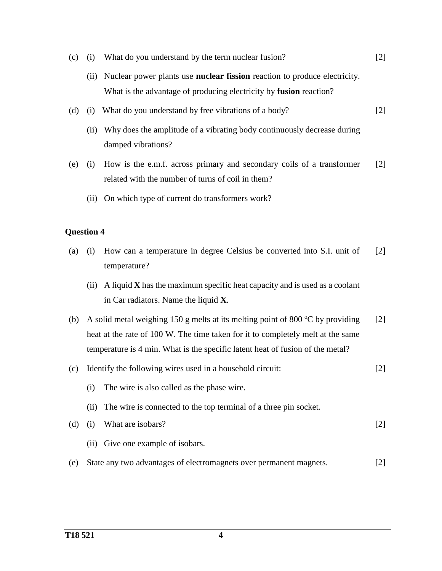- (c) (i) What do you understand by the term nuclear fusion? [2]
	- (ii) Nuclear power plants use **nuclear fission** reaction to produce electricity. What is the advantage of producing electricity by **fusion** reaction?
- (d) (i) What do you understand by free vibrations of a body? [2]
	- (ii) Why does the amplitude of a vibrating body continuously decrease during damped vibrations?
- (e) (i) How is the e.m.f. across primary and secondary coils of a transformer related with the number of turns of coil in them? [2]
	- (ii) On which type of current do transformers work?

- (a) (i) How can a temperature in degree Celsius be converted into S.I. unit of temperature? [2]
	- (ii) A liquid **X** has the maximum specific heat capacity and is used as a coolant in Car radiators. Name the liquid **X**.
- (b) A solid metal weighing 150 g melts at its melting point of 800  $\degree$ C by providing heat at the rate of 100 W. The time taken for it to completely melt at the same temperature is 4 min. What is the specific latent heat of fusion of the metal? [2]
- (c) Identify the following wires used in a household circuit: (i) The wire is also called as the phase wire. [2]
- (d) (i) What are isobars?

[2]

(ii) The wire is connected to the top terminal of a three pin socket.

- (ii) Give one example of isobars.
- (e) State any two advantages of electromagnets over permanent magnets. [2]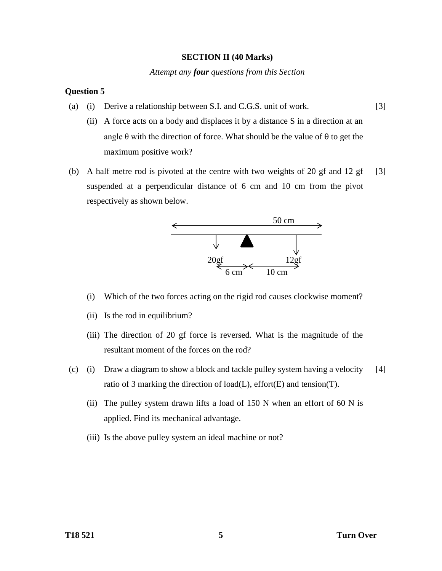#### **SECTION II (40 Marks)**

#### *Attempt any four questions from this Section*

## **Question 5**

- (a) (i) Derive a relationship between S.I. and C.G.S. unit of work. [3]
	- (ii) A force acts on a body and displaces it by a distance S in a direction at an angle  $\theta$  with the direction of force. What should be the value of  $\theta$  to get the maximum positive work?
- (b) A half metre rod is pivoted at the centre with two weights of 20 gf and 12 gf suspended at a perpendicular distance of 6 cm and 10 cm from the pivot respectively as shown below. [3]



- (i) Which of the two forces acting on the rigid rod causes clockwise moment?
- (ii) Is the rod in equilibrium?
- (iii) The direction of 20 gf force is reversed. What is the magnitude of the resultant moment of the forces on the rod?
- (c) (i) Draw a diagram to show a block and tackle pulley system having a velocity ratio of 3 marking the direction of load(L), effort(E) and tension(T). [4]
	- (ii) The pulley system drawn lifts a load of 150 N when an effort of 60 N is applied. Find its mechanical advantage.
	- (iii) Is the above pulley system an ideal machine or not?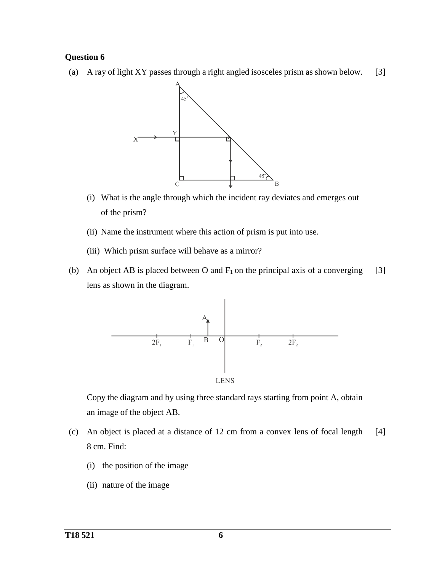(a) A ray of light XY passes through a right angled isosceles prism as shown below. [3]



- (i) What is the angle through which the incident ray deviates and emerges out of the prism?
- (ii) Name the instrument where this action of prism is put into use.
- (iii) Which prism surface will behave as a mirror?
- (b) An object AB is placed between O and  $F_1$  on the principal axis of a converging lens as shown in the diagram. [3]



Copy the diagram and by using three standard rays starting from point A, obtain an image of the object AB.

- (c) An object is placed at a distance of 12 cm from a convex lens of focal length 8 cm. Find: [4]
	- (i) the position of the image
	- (ii) nature of the image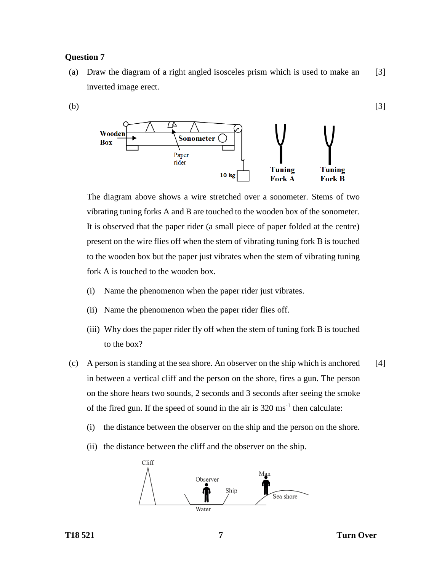(a) Draw the diagram of a right angled isosceles prism which is used to make an inverted image erect. [3]



The diagram above shows a wire stretched over a sonometer. Stems of two vibrating tuning forks A and B are touched to the wooden box of the sonometer. It is observed that the paper rider (a small piece of paper folded at the centre) present on the wire flies off when the stem of vibrating tuning fork B is touched to the wooden box but the paper just vibrates when the stem of vibrating tuning fork A is touched to the wooden box.

- (i) Name the phenomenon when the paper rider just vibrates.
- (ii) Name the phenomenon when the paper rider flies off.
- (iii) Why does the paper rider fly off when the stem of tuning fork B is touched to the box?
- (c) A person is standing at the sea shore. An observer on the ship which is anchored in between a vertical cliff and the person on the shore, fires a gun. The person on the shore hears two sounds, 2 seconds and 3 seconds after seeing the smoke of the fired gun. If the speed of sound in the air is  $320 \text{ ms}^{-1}$  then calculate: [4]
	- (i) the distance between the observer on the ship and the person on the shore.
	- (ii) the distance between the cliff and the observer on the ship.

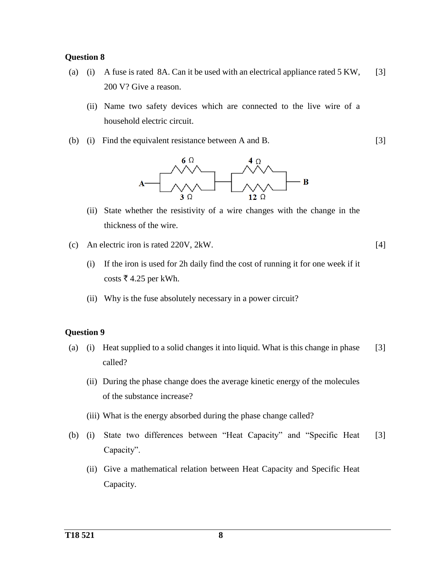- (a) (i) A fuse is rated 8A. Can it be used with an electrical appliance rated 5 KW, 200 V? Give a reason. [3]
	- (ii) Name two safety devices which are connected to the live wire of a household electric circuit.
- (b) (i) Find the equivalent resistance between A and B.



- (ii) State whether the resistivity of a wire changes with the change in the thickness of the wire.
- (c) An electric iron is rated 220V, 2kW.
	- (i) If the iron is used for 2h daily find the cost of running it for one week if it costs  $\overline{\xi}$  4.25 per kWh.
	- (ii) Why is the fuse absolutely necessary in a power circuit?

## **Question 9**

- (a) (i) Heat supplied to a solid changes it into liquid. What is this change in phase called? [3]
	- (ii) During the phase change does the average kinetic energy of the molecules of the substance increase?
	- (iii) What is the energy absorbed during the phase change called?
- (b) (i) State two differences between "Heat Capacity" and "Specific Heat Capacity". [3]
	- (ii) Give a mathematical relation between Heat Capacity and Specific Heat Capacity.

[3]

[4]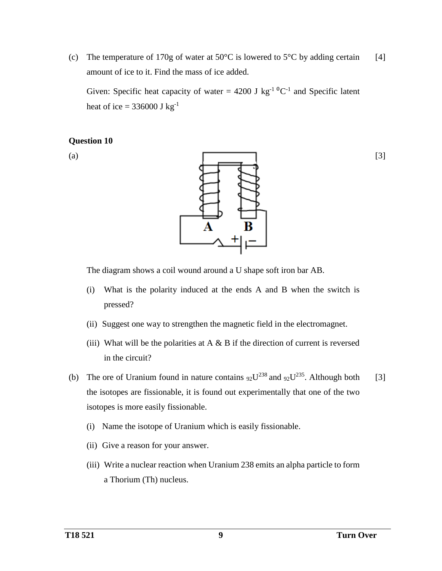(c) The temperature of 170g of water at  $50^{\circ}$ C is lowered to  $5^{\circ}$ C by adding certain amount of ice to it. Find the mass of ice added. [4]

Given: Specific heat capacity of water = 4200 J kg<sup>-1 o</sup>C<sup>-1</sup> and Specific latent heat of ice =  $336000 \text{ J kg}^{-1}$ 

#### **Question 10**

(a)



The diagram shows a coil wound around a U shape soft iron bar AB.

- (i) What is the polarity induced at the ends A and B when the switch is pressed?
- (ii) Suggest one way to strengthen the magnetic field in the electromagnet.
- (iii) What will be the polarities at  $A \& B$  if the direction of current is reversed in the circuit?
- (b) The ore of Uranium found in nature contains  $92U^{238}$  and  $92U^{235}$ . Although both the isotopes are fissionable, it is found out experimentally that one of the two isotopes is more easily fissionable. [3]
	- (i) Name the isotope of Uranium which is easily fissionable.
	- (ii) Give a reason for your answer.
	- (iii) Write a nuclear reaction when Uranium 238 emits an alpha particle to form a Thorium (Th) nucleus.

[3]